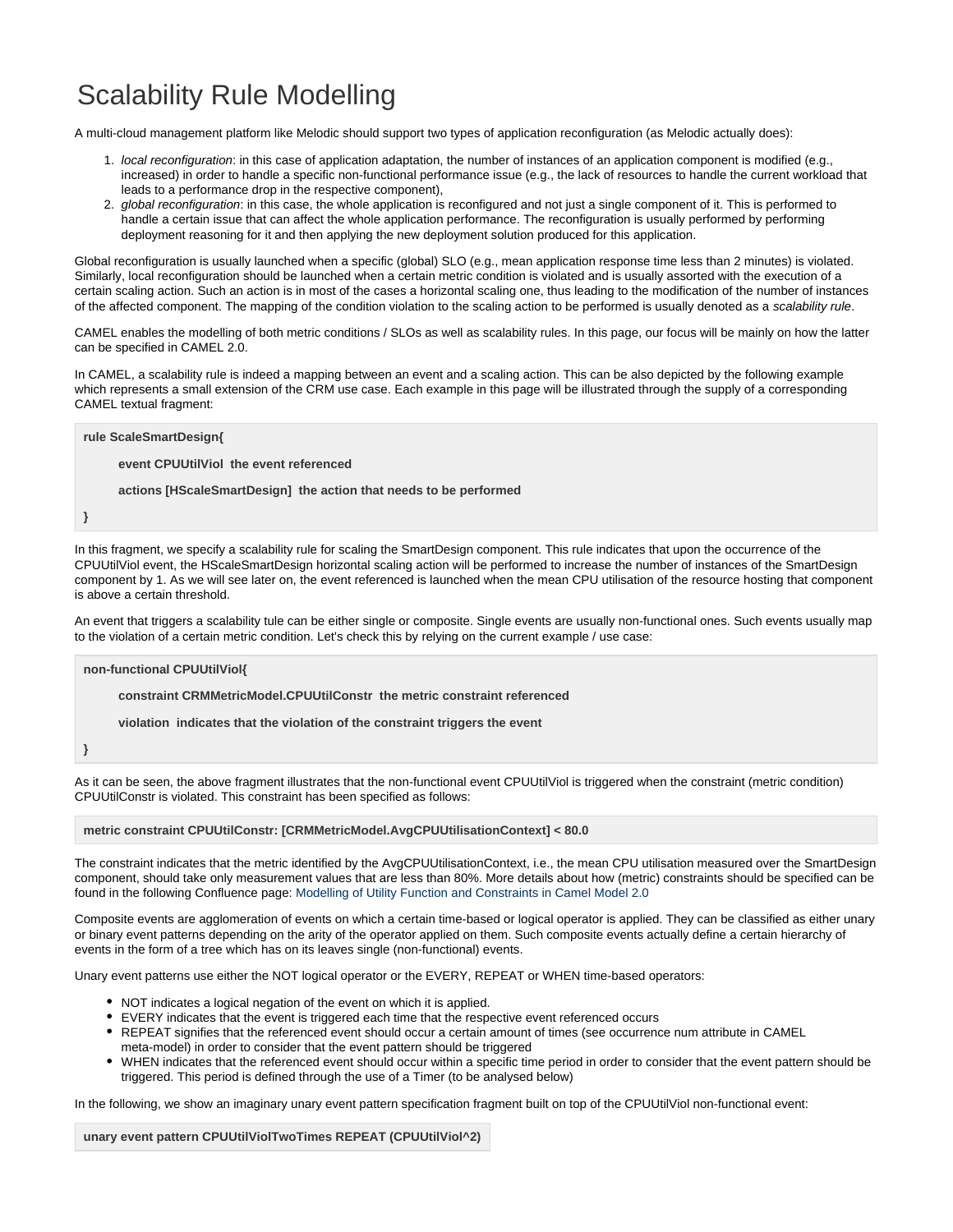## Scalability Rule Modelling

A multi-cloud management platform like Melodic should support two types of application reconfiguration (as Melodic actually does):

- 1. local reconfiguration: in this case of application adaptation, the number of instances of an application component is modified (e.g., increased) in order to handle a specific non-functional performance issue (e.g., the lack of resources to handle the current workload that leads to a performance drop in the respective component),
- 2. global reconfiguration: in this case, the whole application is reconfigured and not just a single component of it. This is performed to handle a certain issue that can affect the whole application performance. The reconfiguration is usually performed by performing deployment reasoning for it and then applying the new deployment solution produced for this application.

Global reconfiguration is usually launched when a specific (global) SLO (e.g., mean application response time less than 2 minutes) is violated. Similarly, local reconfiguration should be launched when a certain metric condition is violated and is usually assorted with the execution of a certain scaling action. Such an action is in most of the cases a horizontal scaling one, thus leading to the modification of the number of instances of the affected component. The mapping of the condition violation to the scaling action to be performed is usually denoted as a scalability rule.

CAMEL enables the modelling of both metric conditions / SLOs as well as scalability rules. In this page, our focus will be mainly on how the latter can be specified in CAMEL 2.0.

In CAMEL, a scalability rule is indeed a mapping between an event and a scaling action. This can be also depicted by the following example which represents a small extension of the CRM use case. Each example in this page will be illustrated through the supply of a corresponding CAMEL textual fragment:

**rule ScaleSmartDesign{ event CPUUtilViol the event referenced actions [HScaleSmartDesign] the action that needs to be performed }**

In this fragment, we specify a scalability rule for scaling the SmartDesign component. This rule indicates that upon the occurrence of the CPUUtilViol event, the HScaleSmartDesign horizontal scaling action will be performed to increase the number of instances of the SmartDesign component by 1. As we will see later on, the event referenced is launched when the mean CPU utilisation of the resource hosting that component is above a certain threshold.

An event that triggers a scalability tule can be either single or composite. Single events are usually non-functional ones. Such events usually map to the violation of a certain metric condition. Let's check this by relying on the current example / use case:

**non-functional CPUUtilViol{**

**constraint CRMMetricModel.CPUUtilConstr the metric constraint referenced**

**violation indicates that the violation of the constraint triggers the event**

**}**

As it can be seen, the above fragment illustrates that the non-functional event CPUUtilViol is triggered when the constraint (metric condition) CPUUtilConstr is violated. This constraint has been specified as follows:

## **metric constraint CPUUtilConstr: [CRMMetricModel.AvgCPUUtilisationContext] < 80.0**

The constraint indicates that the metric identified by the AvgCPUUtilisationContext, i.e., the mean CPU utilisation measured over the SmartDesign component, should take only measurement values that are less than 80%. More details about how (metric) constraints should be specified can be found in the following Confluence page: [Modelling of Utility Function and Constraints in Camel Model 2.0](https://confluence.7bulls.eu/display/MEL/Modelling+of+Utility+Function+and+Constraints+in+Camel+Model+2.0)

Composite events are agglomeration of events on which a certain time-based or logical operator is applied. They can be classified as either unary or binary event patterns depending on the arity of the operator applied on them. Such composite events actually define a certain hierarchy of events in the form of a tree which has on its leaves single (non-functional) events.

Unary event patterns use either the NOT logical operator or the EVERY, REPEAT or WHEN time-based operators:

- NOT indicates a logical negation of the event on which it is applied.
- EVERY indicates that the event is triggered each time that the respective event referenced occurs
- REPEAT signifies that the referenced event should occur a certain amount of times (see occurrence num attribute in CAMEL meta-model) in order to consider that the event pattern should be triggered
- WHEN indicates that the referenced event should occur within a specific time period in order to consider that the event pattern should be triggered. This period is defined through the use of a Timer (to be analysed below)

In the following, we show an imaginary unary event pattern specification fragment built on top of the CPUUtilViol non-functional event:

**unary event pattern CPUUtilViolTwoTimes REPEAT (CPUUtilViol^2)**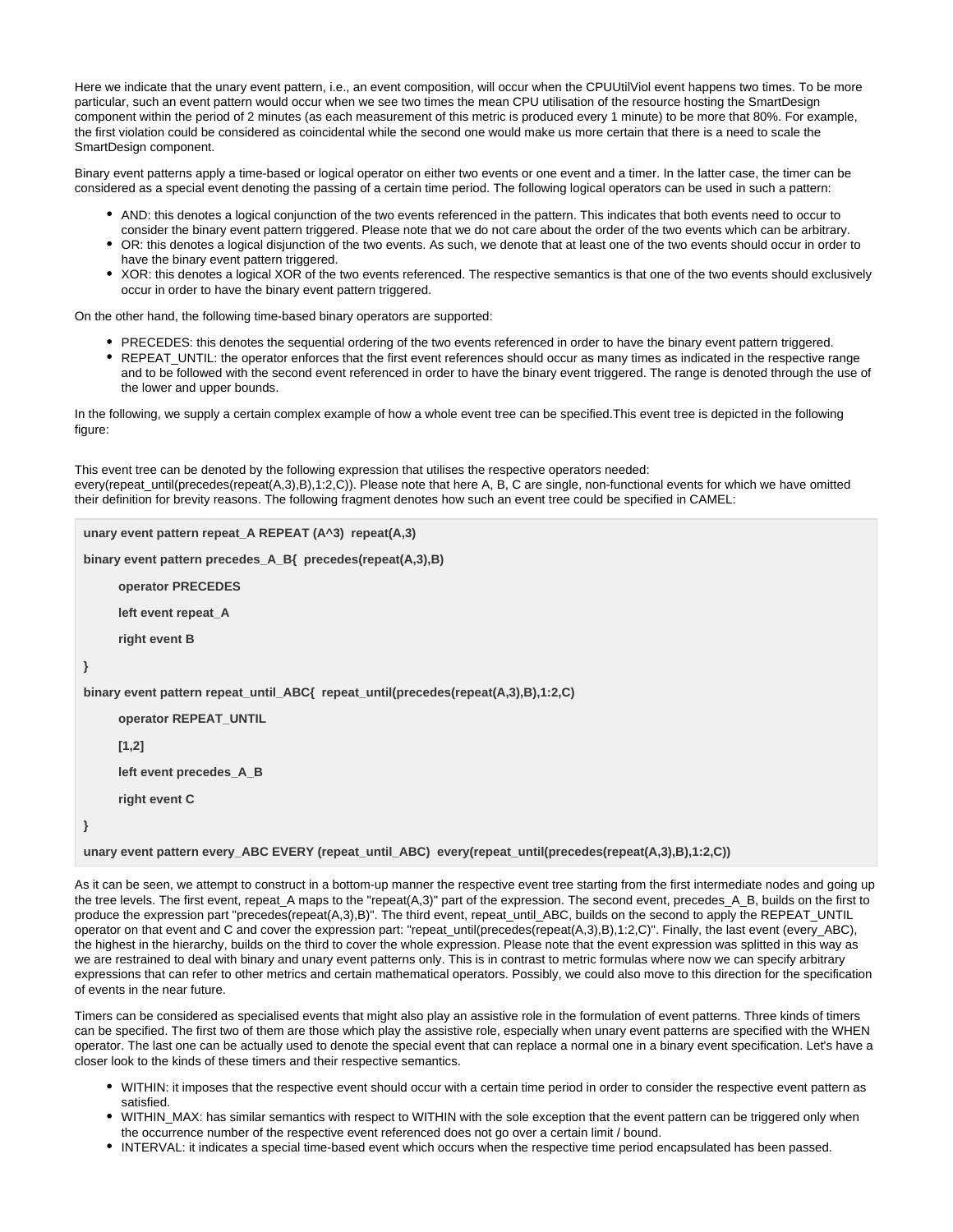Here we indicate that the unary event pattern, i.e., an event composition, will occur when the CPUUtilViol event happens two times. To be more particular, such an event pattern would occur when we see two times the mean CPU utilisation of the resource hosting the SmartDesign component within the period of 2 minutes (as each measurement of this metric is produced every 1 minute) to be more that 80%. For example, the first violation could be considered as coincidental while the second one would make us more certain that there is a need to scale the SmartDesign component.

Binary event patterns apply a time-based or logical operator on either two events or one event and a timer. In the latter case, the timer can be considered as a special event denoting the passing of a certain time period. The following logical operators can be used in such a pattern:

- AND: this denotes a logical conjunction of the two events referenced in the pattern. This indicates that both events need to occur to consider the binary event pattern triggered. Please note that we do not care about the order of the two events which can be arbitrary.
- OR: this denotes a logical disjunction of the two events. As such, we denote that at least one of the two events should occur in order to have the binary event pattern triggered.
- XOR: this denotes a logical XOR of the two events referenced. The respective semantics is that one of the two events should exclusively occur in order to have the binary event pattern triggered.

On the other hand, the following time-based binary operators are supported:

- PRECEDES: this denotes the sequential ordering of the two events referenced in order to have the binary event pattern triggered.
- REPEAT\_UNTIL: the operator enforces that the first event references should occur as many times as indicated in the respective range and to be followed with the second event referenced in order to have the binary event triggered. The range is denoted through the use of the lower and upper bounds.

In the following, we supply a certain complex example of how a whole event tree can be specified.This event tree is depicted in the following figure:

This event tree can be denoted by the following expression that utilises the respective operators needed: every(repeat until(precedes(repeat(A,3),B),1:2,C)). Please note that here A, B, C are single, non-functional events for which we have omitted their definition for brevity reasons. The following fragment denotes how such an event tree could be specified in CAMEL:

```
unary event pattern repeat_A REPEAT (A^3) repeat(A,3)
binary event pattern precedes_A_B{ precedes(repeat(A,3),B)
     operator PRECEDES
     left event repeat_A
     right event B
}
binary event pattern repeat_until_ABC{ repeat_until(precedes(repeat(A,3),B),1:2,C)
     operator REPEAT_UNTIL
     [1,2]
     left event precedes_A_B
     right event C
}
unary event pattern every_ABC EVERY (repeat_until_ABC) every(repeat_until(precedes(repeat(A,3),B),1:2,C))
```
As it can be seen, we attempt to construct in a bottom-up manner the respective event tree starting from the first intermediate nodes and going up the tree levels. The first event, repeat\_A maps to the "repeat(A,3)" part of the expression. The second event, precedes\_A\_B, builds on the first to produce the expression part "precedes(repeat(A,3),B)". The third event, repeat\_until\_ABC, builds on the second to apply the REPEAT\_UNTIL operator on that event and C and cover the expression part: "repeat\_until(precedes(repeat(A,3),B),1:2,C)". Finally, the last event (every\_ABC), the highest in the hierarchy, builds on the third to cover the whole expression. Please note that the event expression was splitted in this way as we are restrained to deal with binary and unary event patterns only. This is in contrast to metric formulas where now we can specify arbitrary expressions that can refer to other metrics and certain mathematical operators. Possibly, we could also move to this direction for the specification of events in the near future.

Timers can be considered as specialised events that might also play an assistive role in the formulation of event patterns. Three kinds of timers can be specified. The first two of them are those which play the assistive role, especially when unary event patterns are specified with the WHEN operator. The last one can be actually used to denote the special event that can replace a normal one in a binary event specification. Let's have a closer look to the kinds of these timers and their respective semantics.

- WITHIN: it imposes that the respective event should occur with a certain time period in order to consider the respective event pattern as satisfied.
- WITHIN\_MAX: has similar semantics with respect to WITHIN with the sole exception that the event pattern can be triggered only when the occurrence number of the respective event referenced does not go over a certain limit / bound.
- INTERVAL: it indicates a special time-based event which occurs when the respective time period encapsulated has been passed.